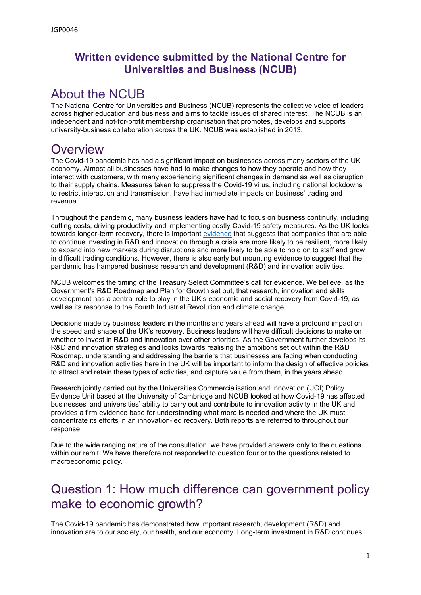#### **Written evidence submitted by the National Centre for Universities and Business (NCUB)**

## About the NCUB

The National Centre for Universities and Business (NCUB) represents the collective voice of leaders across higher education and business and aims to tackle issues of shared interest. The NCUB is an independent and not-for-profit membership organisation that promotes, develops and supports university-business collaboration across the UK. NCUB was established in 2013.

#### **Overview**

The Covid-19 pandemic has had a significant impact on businesses across many sectors of the UK economy. Almost all businesses have had to make changes to how they operate and how they interact with customers, with many experiencing significant changes in demand as well as disruption to their supply chains. Measures taken to suppress the Covid-19 virus, including national lockdowns to restrict interaction and transmission, have had immediate impacts on business' trading and revenue.

Throughout the pandemic, many business leaders have had to focus on business continuity, including cutting costs, driving productivity and implementing costly Covid-19 safety measures. As the UK looks towards longer-term recovery, there is important [evidence](https://www.ncub.co.uk/index.php?option=com_docman&view=download&alias=517-ncub-covid-survey-report-may-21-business-digital&category_slug=reports&Itemid=2728) that suggests that companies that are able to continue investing in R&D and innovation through a crisis are more likely to be resilient, more likely to expand into new markets during disruptions and more likely to be able to hold on to staff and grow in difficult trading conditions. However, there is also early but mounting evidence to suggest that the pandemic has hampered business research and development (R&D) and innovation activities.

NCUB welcomes the timing of the Treasury Select Committee's call for evidence. We believe, as the Government's R&D Roadmap and Plan for Growth set out, that research, innovation and skills development has a central role to play in the UK's economic and social recovery from Covid-19, as well as its response to the Fourth Industrial Revolution and climate change.

Decisions made by business leaders in the months and years ahead will have a profound impact on the speed and shape of the UK's recovery. Business leaders will have difficult decisions to make on whether to invest in R&D and innovation over other priorities. As the Government further develops its R&D and innovation strategies and looks towards realising the ambitions set out within the R&D Roadmap, understanding and addressing the barriers that businesses are facing when conducting R&D and innovation activities here in the UK will be important to inform the design of effective policies to attract and retain these types of activities, and capture value from them, in the years ahead.

Research jointly carried out by the Universities Commercialisation and Innovation (UCI) Policy Evidence Unit based at the University of Cambridge and NCUB looked at how Covid-19 has affected businesses' and universities' ability to carry out and contribute to innovation activity in the UK and provides a firm evidence base for understanding what more is needed and where the UK must concentrate its efforts in an innovation-led recovery. Both reports are referred to throughout our response.

Due to the wide ranging nature of the consultation, we have provided answers only to the questions within our remit. We have therefore not responded to question four or to the questions related to macroeconomic policy.

# Question 1: How much difference can government policy make to economic growth?

The Covid-19 pandemic has demonstrated how important research, development (R&D) and innovation are to our society, our health, and our economy. Long-term investment in R&D continues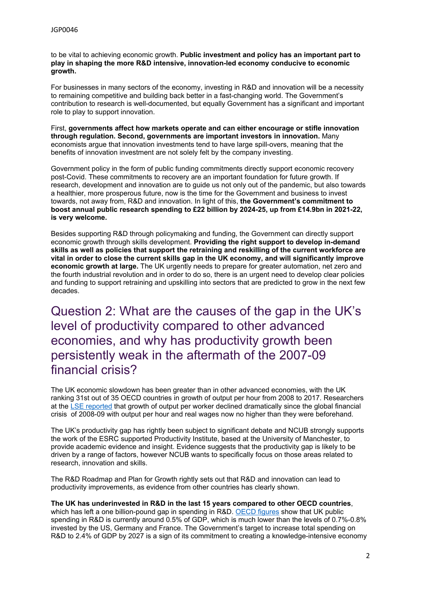to be vital to achieving economic growth. **Public investment and policy has an important part to play in shaping the more R&D intensive, innovation-led economy conducive to economic growth.**

For businesses in many sectors of the economy, investing in R&D and innovation will be a necessity to remaining competitive and building back better in a fast-changing world. The Government's contribution to research is well-documented, but equally Government has a significant and important role to play to support innovation.

First, **governments affect how markets operate and can either encourage or stifle innovation through regulation. Second, governments are important investors in innovation.** Many economists argue that innovation investments tend to have large spill-overs, meaning that the benefits of innovation investment are not solely felt by the company investing.

Government policy in the form of public funding commitments directly support economic recovery post-Covid. These commitments to recovery are an important foundation for future growth. If research, development and innovation are to guide us not only out of the pandemic, but also towards a healthier, more prosperous future, now is the time for the Government and business to invest towards, not away from, R&D and innovation. In light of this, **the Government's commitment to boost annual public research spending to £22 billion by 2024-25, up from £14.9bn in 2021-22, is very welcome.**

Besides supporting R&D through policymaking and funding, the Government can directly support economic growth through skills development. **Providing the right support to develop in-demand skills as well as policies that support the retraining and reskilling of the current workforce are vital in order to close the current skills gap in the UK economy, and will significantly improve economic growth at large.** The UK urgently needs to prepare for greater automation, net zero and the fourth industrial revolution and in order to do so, there is an urgent need to develop clear policies and funding to support retraining and upskilling into sectors that are predicted to grow in the next few decades.

Question 2: What are the causes of the gap in the UK's level of productivity compared to other advanced economies, and why has productivity growth been persistently weak in the aftermath of the 2007-09 financial crisis?

The UK economic slowdown has been greater than in other advanced economies, with the UK ranking 31st out of 35 OECD countries in growth of output per hour from 2008 to 2017. Researchers at the [LSE](https://blogs.lse.ac.uk/businessreview/2020/03/07/if-the-uk-is-high-tech-why-is-productivity-growth-slow-economists-weigh-in/#:~:text=While%20the%20United%20States%20and,hour%20from%202008%20to%202017.) [reported](https://blogs.lse.ac.uk/businessreview/2020/03/07/if-the-uk-is-high-tech-why-is-productivity-growth-slow-economists-weigh-in/#:~:text=While%20the%20United%20States%20and,hour%20from%202008%20to%202017.) that growth of output per worker declined dramatically since the global financial crisis of 2008-09 with output per hour and real wages now no higher than they were beforehand.

The UK's productivity gap has rightly been subject to significant debate and NCUB strongly supports the work of the ESRC supported Productivity Institute, based at the University of Manchester, to provide academic evidence and insight. Evidence suggests that the productivity gap is likely to be driven by a range of factors, however NCUB wants to specifically focus on those areas related to research, innovation and skills.

The R&D Roadmap and Plan for Growth rightly sets out that R&D and innovation can lead to productivity improvements, as evidence from other countries has clearly shown.

#### **The UK has underinvested in R&D in the last 15 years compared to other OECD countries**,

which has left a one billion-pound gap in spending in R&D. [OECD](https://www.oecd-ilibrary.org/science-and-technology/main-science-and-technology-indicators_2304277x) [figures](https://www.oecd-ilibrary.org/science-and-technology/main-science-and-technology-indicators_2304277x) show that UK public spending in R&D is currently around 0.5% of GDP, which is much lower than the levels of 0.7%-0.8% invested by the US, Germany and France. The Government's target to increase total spending on R&D to 2.4% of GDP by 2027 is a sign of its commitment to creating a knowledge-intensive economy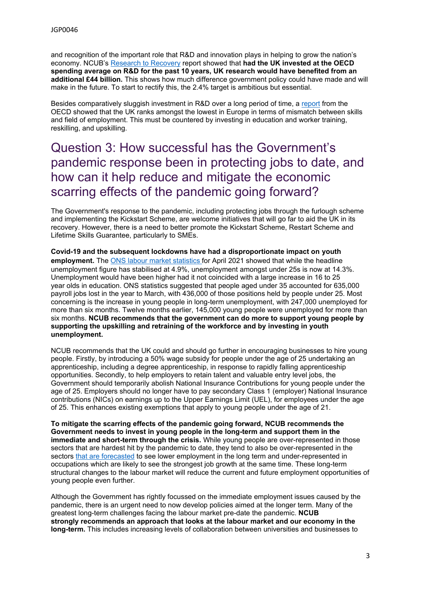and recognition of the important role that R&D and innovation plays in helping to grow the nation's economy. NCUB's [Research](https://www.ncub.co.uk/reports/r-d-taskforce-report-research-to-recovery) [to](https://www.ncub.co.uk/reports/r-d-taskforce-report-research-to-recovery) [Recovery](https://www.ncub.co.uk/reports/r-d-taskforce-report-research-to-recovery) report showed that **had the UK invested at the OECD spending average on R&D for the past 10 years, UK research would have benefited from an additional £44 billion.** This shows how much difference government policy could have made and will make in the future. To start to rectify this, the 2.4% target is ambitious but essential.

Besides comparatively sluggish investment in R&D over a long period of time, a [report](https://www.oecd-ilibrary.org/employment/getting-skills-right-united-kingdom_9789264280489-en) from the OECD showed that the UK ranks amongst the lowest in Europe in terms of mismatch between skills and field of employment. This must be countered by investing in education and worker training, reskilling, and upskilling.

### Question 3: How successful has the Government's pandemic response been in protecting jobs to date, and how can it help reduce and mitigate the economic scarring effects of the pandemic going forward?

The Government's response to the pandemic, including protecting jobs through the furlough scheme and implementing the Kickstart Scheme, are welcome initiatives that will go far to aid the UK in its recovery. However, there is a need to better promote the Kickstart Scheme, Restart Scheme and Lifetime Skills Guarantee, particularly to SMEs.

**Covid-19 and the subsequent lockdowns have had a disproportionate impact on youth employment.** The [ONS](https://www.ons.gov.uk/employmentandlabourmarket/peopleinwork/employmentandemployeetypes/bulletins/uklabourmarket/march2021) [labour](https://www.ons.gov.uk/employmentandlabourmarket/peopleinwork/employmentandemployeetypes/bulletins/uklabourmarket/march2021) [market](https://www.ons.gov.uk/employmentandlabourmarket/peopleinwork/employmentandemployeetypes/bulletins/uklabourmarket/march2021) [statistics](https://www.ons.gov.uk/employmentandlabourmarket/peopleinwork/employmentandemployeetypes/bulletins/uklabourmarket/march2021) for April 2021 showed that while the headline unemployment figure has stabilised at 4.9%, unemployment amongst under 25s is now at 14.3%. Unemployment would have been higher had it not coincided with a large increase in 16 to 25 year olds in education. ONS statistics suggested that people aged under 35 accounted for 635,000 payroll jobs lost in the year to March, with 436,000 of those positions held by people under 25. Most concerning is the increase in young people in long-term unemployment, with 247,000 unemployed for more than six months. Twelve months earlier, 145,000 young people were unemployed for more than six months. **NCUB recommends that the government can do more to support young people by supporting the upskilling and retraining of the workforce and by investing in youth unemployment.**

NCUB recommends that the UK could and should go further in encouraging businesses to hire young people. Firstly, by introducing a 50% wage subsidy for people under the age of 25 undertaking an apprenticeship, including a degree apprenticeship, in response to rapidly falling apprenticeship opportunities. Secondly, to help employers to retain talent and valuable entry level jobs, the Government should temporarily abolish National Insurance Contributions for young people under the age of 25. Employers should no longer have to pay secondary Class 1 (employer) National Insurance contributions (NICs) on earnings up to the Upper Earnings Limit (UEL), for employees under the age of 25. This enhances existing exemptions that apply to young people under the age of 21.

**To mitigate the scarring effects of the pandemic going forward, NCUB recommends the Government needs to invest in young people in the long-term and support them in the immediate and short-term through the crisis.** While young people are over-represented in those sectors that are hardest hit by the pandemic to date, they tend to also be over-represented in the sectors [that](https://cdn.ymaws.com/www.myiep.uk/resource/resmgr/docs/facing_the_future_-_employme.pdf) [are](https://cdn.ymaws.com/www.myiep.uk/resource/resmgr/docs/facing_the_future_-_employme.pdf) [forecasted](https://cdn.ymaws.com/www.myiep.uk/resource/resmgr/docs/facing_the_future_-_employme.pdf) to see lower employment in the long term and under-represented in occupations which are likely to see the strongest job growth at the same time. These long-term structural changes to the labour market will reduce the current and future employment opportunities of young people even further.

Although the Government has rightly focussed on the immediate employment issues caused by the pandemic, there is an urgent need to now develop policies aimed at the longer term. Many of the greatest long-term challenges facing the labour market pre-date the pandemic. **NCUB strongly recommends an approach that looks at the labour market and our economy in the long-term.** This includes increasing levels of collaboration between universities and businesses to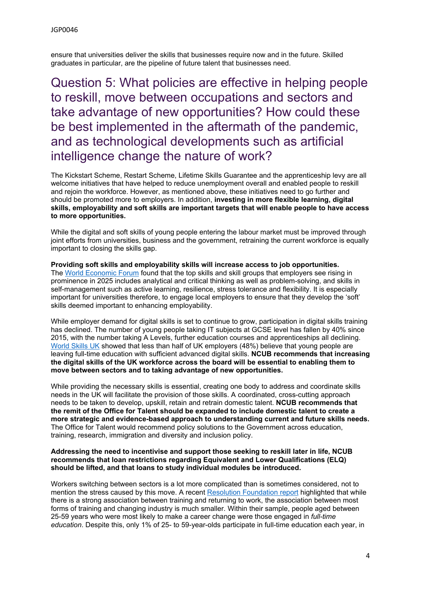ensure that universities deliver the skills that businesses require now and in the future. Skilled graduates in particular, are the pipeline of future talent that businesses need.

Question 5: What policies are effective in helping people to reskill, move between occupations and sectors and take advantage of new opportunities? How could these be best implemented in the aftermath of the pandemic, and as technological developments such as artificial intelligence change the nature of work?

The Kickstart Scheme, Restart Scheme, Lifetime Skills Guarantee and the apprenticeship levy are all welcome initiatives that have helped to reduce unemployment overall and enabled people to reskill and rejoin the workforce. However, as mentioned above, these initiatives need to go further and should be promoted more to employers. In addition, **investing in more flexible learning, digital skills, employability and soft skills are important targets that will enable people to have access to more opportunities.**

While the digital and soft skills of young people entering the labour market must be improved through joint efforts from universities, business and the government, retraining the current workforce is equally important to closing the skills gap.

**Providing soft skills and employability skills will increase access to job opportunities.** The [World](https://www.weforum.org/reports/the-future-of-jobs-report-2020) [Economic](https://www.weforum.org/reports/the-future-of-jobs-report-2020) [Forum](https://www.weforum.org/reports/the-future-of-jobs-report-2020) found that the top skills and skill groups that employers see rising in prominence in 2025 includes analytical and critical thinking as well as problem-solving, and skills in self-management such as active learning, resilience, stress tolerance and flexibility. It is especially important for universities therefore, to engage local employers to ensure that they develop the 'soft' skills deemed important to enhancing employability.

While employer demand for digital skills is set to continue to grow, participation in digital skills training has declined. The number of young people taking IT subjects at GCSE level has fallen by 40% since 2015, with the number taking A Levels, further education courses and apprenticeships all declining. World Skills UK showed that less than half of UK employers (48%) believe that young people are leaving full-time education with sufficient advanced digital skills. **NCUB recommends that increasing the digital skills of the UK workforce across the board will be essential to enabling them to move between sectors and to taking advantage of new opportunities.**

While providing the necessary skills is essential, creating one body to address and coordinate skills needs in the UK will facilitate the provision of those skills. A coordinated, cross-cutting approach needs to be taken to develop, upskill, retain and retrain domestic talent. **NCUB recommends that the remit of the Office for Talent should be expanded to include domestic talent to create a more strategic and evidence-based approach to understanding current and future skills needs.** The Office for Talent would recommend policy solutions to the Government across education, training, research, immigration and diversity and inclusion policy.

#### **Addressing the need to incentivise and support those seeking to reskill later in life, NCUB recommends that loan restrictions regarding Equivalent and Lower Qualifications (ELQ) should be lifted, and that loans to study individual modules be introduced.**

Workers switching between sectors is a lot more complicated than is sometimes considered, not to mention the stress caused by this move. A recent [Resolution](https://www.resolutionfoundation.org/publications/can-training-help-workers-change-their-stripes/) [Foundation](https://www.resolutionfoundation.org/publications/can-training-help-workers-change-their-stripes/) [report](https://www.resolutionfoundation.org/publications/can-training-help-workers-change-their-stripes/) highlighted that while there is a strong association between training and returning to work, the association between most forms of training and changing industry is much smaller. Within their sample, people aged between 25-59 years who were most likely to make a career change were those engaged in *full-time education*. Despite this, only 1% of 25- to 59-year-olds participate in full-time education each year, in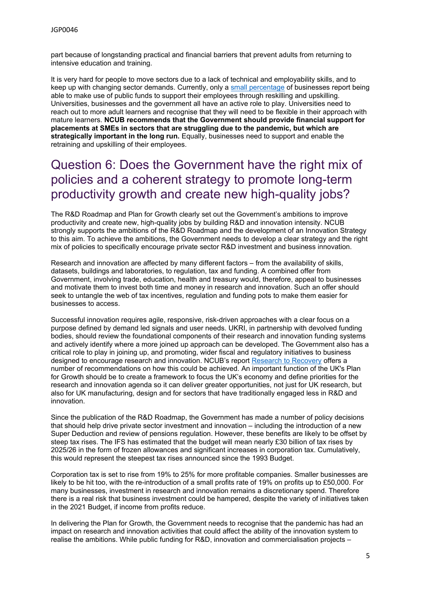part because of longstanding practical and financial barriers that prevent adults from returning to intensive education and training.

It is very hard for people to move sectors due to a lack of technical and employability skills, and to keep up with changing sector demands. Currently, only a [small](http://www3.weforum.org/docs/WEF_Future_of_Jobs_2020.pdf%22%20/) [percentage](http://www3.weforum.org/docs/WEF_Future_of_Jobs_2020.pdf%22%20/) of businesses report being able to make use of public funds to support their employees through reskilling and upskilling. Universities, businesses and the government all have an active role to play. Universities need to reach out to more adult learners and recognise that they will need to be flexible in their approach with mature learners. **NCUB recommends that the Government should provide financial support for placements at SMEs in sectors that are struggling due to the pandemic, but which are strategically important in the long run.** Equally, businesses need to support and enable the retraining and upskilling of their employees.

## Question 6: Does the Government have the right mix of policies and a coherent strategy to promote long-term productivity growth and create new high-quality jobs?

The R&D Roadmap and Plan for Growth clearly set out the Government's ambitions to improve productivity and create new, high-quality jobs by building R&D and innovation intensity. NCUB strongly supports the ambitions of the R&D Roadmap and the development of an Innovation Strategy to this aim. To achieve the ambitions, the Government needs to develop a clear strategy and the right mix of policies to specifically encourage private sector R&D investment and business innovation.

Research and innovation are affected by many different factors – from the availability of skills, datasets, buildings and laboratories, to regulation, tax and funding. A combined offer from Government, involving trade, education, health and treasury would, therefore, appeal to businesses and motivate them to invest both time and money in research and innovation. Such an offer should seek to untangle the web of tax incentives, regulation and funding pots to make them easier for businesses to access.

Successful innovation requires agile, responsive, risk-driven approaches with a clear focus on a purpose defined by demand led signals and user needs. UKRI, in partnership with devolved funding bodies, should review the foundational components of their research and innovation funding systems and actively identify where a more joined up approach can be developed. The Government also has a critical role to play in joining up, and promoting, wider fiscal and regulatory initiatives to business designed to encourage research and innovation. NCUB's report [Research](https://www.ncub.co.uk/index.php?option=com_docman&view=download&alias=475-ncub-r-d-taskforce-report-2020-final&category_slug=reports&Itemid=2728) [to](https://www.ncub.co.uk/index.php?option=com_docman&view=download&alias=475-ncub-r-d-taskforce-report-2020-final&category_slug=reports&Itemid=2728) [Recovery](https://www.ncub.co.uk/index.php?option=com_docman&view=download&alias=475-ncub-r-d-taskforce-report-2020-final&category_slug=reports&Itemid=2728) offers a number of recommendations on how this could be achieved. An important function of the UK's Plan for Growth should be to create a framework to focus the UK's economy and define priorities for the research and innovation agenda so it can deliver greater opportunities, not just for UK research, but also for UK manufacturing, design and for sectors that have traditionally engaged less in R&D and innovation.

Since the publication of the R&D Roadmap, the Government has made a number of policy decisions that should help drive private sector investment and innovation – including the introduction of a new Super Deduction and review of pensions regulation. However, these benefits are likely to be offset by steep tax rises. The IFS has estimated that the budget will mean nearly £30 billion of tax rises by 2025/26 in the form of frozen allowances and significant increases in corporation tax. Cumulatively, this would represent the steepest tax rises announced since the 1993 Budget.

Corporation tax is set to rise from 19% to 25% for more profitable companies. Smaller businesses are likely to be hit too, with the re-introduction of a small profits rate of 19% on profits up to £50,000. For many businesses, investment in research and innovation remains a discretionary spend. Therefore there is a real risk that business investment could be hampered, despite the variety of initiatives taken in the 2021 Budget, if income from profits reduce.

In delivering the Plan for Growth, the Government needs to recognise that the pandemic has had an impact on research and innovation activities that could affect the ability of the innovation system to realise the ambitions. While public funding for R&D, innovation and commercialisation projects –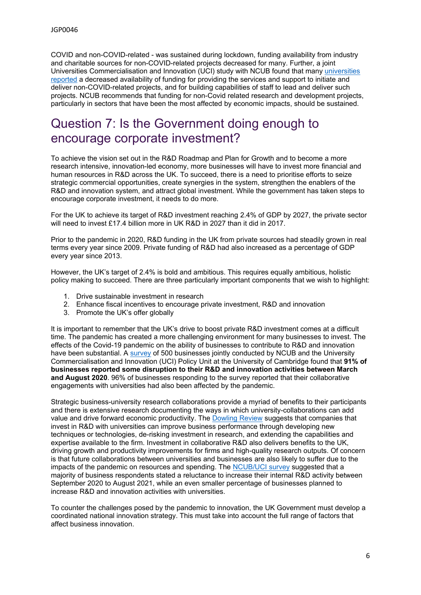COVID and non-COVID-related - was sustained during lockdown, funding availability from industry and charitable sources for non-COVID-related projects decreased for many. Further, a joint Universities Commercialisation and Innovation (UCI) study with NCUB found that many [universities](https://www.ncub.co.uk/index.php?option=com_docman&view=download&alias=488-ncub-covid-survey-report-jan-21-university-v2&category_slug=reports&Itemid=2728) [reported](https://www.ncub.co.uk/index.php?option=com_docman&view=download&alias=488-ncub-covid-survey-report-jan-21-university-v2&category_slug=reports&Itemid=2728) a decreased availability of funding for providing the services and support to initiate and deliver non-COVID-related projects, and for building capabilities of staff to lead and deliver such projects. NCUB recommends that funding for non-Covid related research and development projects, particularly in sectors that have been the most affected by economic impacts, should be sustained.

# Question 7: Is the Government doing enough to encourage corporate investment?

To achieve the vision set out in the R&D Roadmap and Plan for Growth and to become a more research intensive, innovation-led economy, more businesses will have to invest more financial and human resources in R&D across the UK. To succeed, there is a need to prioritise efforts to seize strategic commercial opportunities, create synergies in the system, strengthen the enablers of the R&D and innovation system, and attract global investment. While the government has taken steps to encourage corporate investment, it needs to do more.

For the UK to achieve its target of R&D investment reaching 2.4% of GDP by 2027, the private sector will need to invest £17.4 billion more in UK R&D in 2027 than it did in 2017.

Prior to the pandemic in 2020, R&D funding in the UK from private sources had steadily grown in real terms every year since 2009. Private funding of R&D had also increased as a percentage of GDP every year since 2013.

However, the UK's target of 2.4% is bold and ambitious. This requires equally ambitious, holistic policy making to succeed. There are three particularly important components that we wish to highlight:

- 1. Drive sustainable investment in research
- 2. Enhance fiscal incentives to encourage private investment, R&D and innovation
- 3. Promote the UK's offer globally

It is important to remember that the UK's drive to boost private R&D investment comes at a difficult time. The pandemic has created a more challenging environment for many businesses to invest. The effects of the Covid-19 pandemic on the ability of businesses to contribute to R&D and innovation have been substantial. A [survey](https://www.ncub.co.uk/index.php?option=com_docman&view=download&alias=517-ncub-covid-survey-report-may-21-business-digital&category_slug=reports&Itemid=2728) of 500 businesses jointly conducted by NCUB and the University Commercialisation and Innovation (UCI) Policy Unit at the University of Cambridge found that **91% of businesses reported some disruption to their R&D and innovation activities between March and August 2020**. 96% of businesses responding to the survey reported that their collaborative engagements with universities had also been affected by the pandemic.

Strategic business-university research collaborations provide a myriad of benefits to their participants and there is extensive research documenting the ways in which university-collaborations can add value and drive forward economic productivity. The [Dowling](https://assets.publishing.service.gov.uk/government/uploads/system/uploads/attachment_data/file/440927/bis_15_352_The_dowling_review_of_business-university_rearch_collaborations_2.pdf) [Review](https://assets.publishing.service.gov.uk/government/uploads/system/uploads/attachment_data/file/440927/bis_15_352_The_dowling_review_of_business-university_rearch_collaborations_2.pdf) suggests that companies that invest in R&D with universities can improve business performance through developing new techniques or technologies, de-risking investment in research, and extending the capabilities and expertise available to the firm. Investment in collaborative R&D also delivers benefits to the UK, driving growth and productivity improvements for firms and high-quality research outputs. Of concern is that future collaborations between universities and businesses are also likely to suffer due to the impacts of the pandemic on resources and spending. The [NCUB/UCI](https://www.ncub.co.uk/index.php?option=com_docman&view=download&alias=517-ncub-covid-survey-report-may-21-business-digital&category_slug=reports&Itemid=2728) [survey](https://www.ncub.co.uk/index.php?option=com_docman&view=download&alias=517-ncub-covid-survey-report-may-21-business-digital&category_slug=reports&Itemid=2728) suggested that a majority of business respondents stated a reluctance to increase their internal R&D activity between September 2020 to August 2021, while an even smaller percentage of businesses planned to increase R&D and innovation activities with universities.

To counter the challenges posed by the pandemic to innovation, the UK Government must develop a coordinated national innovation strategy. This must take into account the full range of factors that affect business innovation.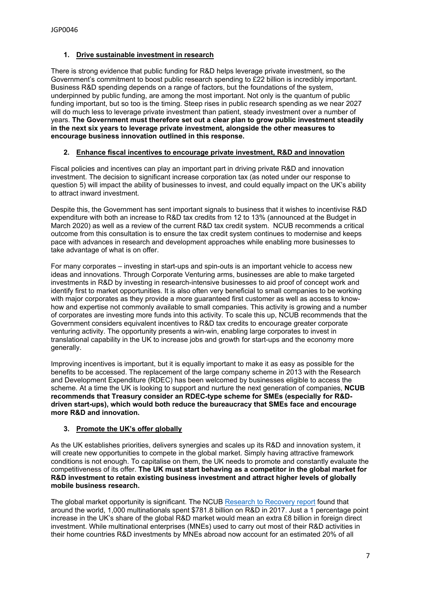#### **1. Drive sustainable investment in research**

There is strong evidence that public funding for R&D helps leverage private investment, so the Government's commitment to boost public research spending to £22 billion is incredibly important. Business R&D spending depends on a range of factors, but the foundations of the system, underpinned by public funding, are among the most important. Not only is the quantum of public funding important, but so too is the timing. Steep rises in public research spending as we near 2027 will do much less to leverage private investment than patient, steady investment over a number of years. **The Government must therefore set out a clear plan to grow public investment steadily in the next six years to leverage private investment, alongside the other measures to encourage business innovation outlined in this response.**

#### **2. Enhance fiscal incentives to encourage private investment, R&D and innovation**

Fiscal policies and incentives can play an important part in driving private R&D and innovation investment. The decision to significant increase corporation tax (as noted under our response to question 5) will impact the ability of businesses to invest, and could equally impact on the UK's ability to attract inward investment.

Despite this, the Government has sent important signals to business that it wishes to incentivise R&D expenditure with both an increase to R&D tax credits from 12 to 13% (announced at the Budget in March 2020) as well as a review of the current R&D tax credit system. NCUB recommends a critical outcome from this consultation is to ensure the tax credit system continues to modernise and keeps pace with advances in research and development approaches while enabling more businesses to take advantage of what is on offer.

For many corporates – investing in start-ups and spin-outs is an important vehicle to access new ideas and innovations. Through Corporate Venturing arms, businesses are able to make targeted investments in R&D by investing in research-intensive businesses to aid proof of concept work and identify first to market opportunities. It is also often very beneficial to small companies to be working with major corporates as they provide a more guaranteed first customer as well as access to knowhow and expertise not commonly available to small companies. This activity is growing and a number of corporates are investing more funds into this activity. To scale this up, NCUB recommends that the Government considers equivalent incentives to R&D tax credits to encourage greater corporate venturing activity. The opportunity presents a win-win, enabling large corporates to invest in translational capability in the UK to increase jobs and growth for start-ups and the economy more generally.

Improving incentives is important, but it is equally important to make it as easy as possible for the benefits to be accessed. The replacement of the large company scheme in 2013 with the Research and Development Expenditure (RDEC) has been welcomed by businesses eligible to access the scheme. At a time the UK is looking to support and nurture the next generation of companies, **NCUB recommends that Treasury consider an RDEC-type scheme for SMEs (especially for R&Ddriven start-ups), which would both reduce the bureaucracy that SMEs face and encourage more R&D and innovation.**

#### **3. Promote the UK's offer globally**

As the UK establishes priorities, delivers synergies and scales up its R&D and innovation system, it will create new opportunities to compete in the global market. Simply having attractive framework conditions is not enough. To capitalise on them, the UK needs to promote and constantly evaluate the competitiveness of its offer. **The UK must start behaving as a competitor in the global market for R&D investment to retain existing business investment and attract higher levels of globally mobile business research.**

The global market opportunity is significant. The NCUB [Research](https://www.ncub.co.uk/reports/r-d-taskforce-report-research-to-recovery) [to](https://www.ncub.co.uk/reports/r-d-taskforce-report-research-to-recovery) [Recovery](https://www.ncub.co.uk/reports/r-d-taskforce-report-research-to-recovery) [report](https://www.ncub.co.uk/reports/r-d-taskforce-report-research-to-recovery) found that around the world, 1,000 multinationals spent \$781.8 billion on R&D in 2017. Just a 1 percentage point increase in the UK's share of the global R&D market would mean an extra £8 billion in foreign direct investment. While multinational enterprises (MNEs) used to carry out most of their R&D activities in their home countries R&D investments by MNEs abroad now account for an estimated 20% of all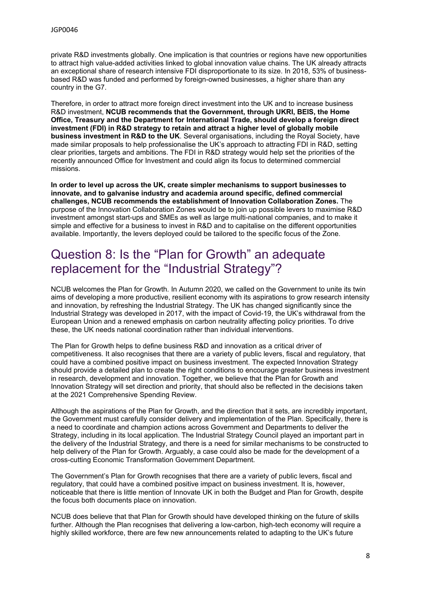private R&D investments globally. One implication is that countries or regions have new opportunities to attract high value-added activities linked to global innovation value chains. The UK already attracts an exceptional share of research intensive FDI disproportionate to its size. In 2018, 53% of businessbased R&D was funded and performed by foreign-owned businesses, a higher share than any country in the G7.

Therefore, in order to attract more foreign direct investment into the UK and to increase business R&D investment, **NCUB recommends that the Government, through UKRI, BEIS, the Home Office, Treasury and the Department for International Trade, should develop a foreign direct investment (FDI) in R&D strategy to retain and attract a higher level of globally mobile business investment in R&D to the UK**. Several organisations, including the Royal Society, have made similar proposals to help professionalise the UK's approach to attracting FDI in R&D, setting clear priorities, targets and ambitions. The FDI in R&D strategy would help set the priorities of the recently announced Office for Investment and could align its focus to determined commercial missions.

**In order to level up across the UK, create simpler mechanisms to support businesses to innovate, and to galvanise industry and academia around specific, defined commercial challenges, NCUB recommends the establishment of Innovation Collaboration Zones.** The purpose of the Innovation Collaboration Zones would be to join up possible levers to maximise R&D investment amongst start-ups and SMEs as well as large multi-national companies, and to make it simple and effective for a business to invest in R&D and to capitalise on the different opportunities available. Importantly, the levers deployed could be tailored to the specific focus of the Zone.

# Question 8: Is the "Plan for Growth" an adequate replacement for the "Industrial Strategy"?

NCUB welcomes the Plan for Growth. In Autumn 2020, we called on the Government to unite its twin aims of developing a more productive, resilient economy with its aspirations to grow research intensity and innovation, by refreshing the Industrial Strategy. The UK has changed significantly since the Industrial Strategy was developed in 2017, with the impact of Covid-19, the UK's withdrawal from the European Union and a renewed emphasis on carbon neutrality affecting policy priorities. To drive these, the UK needs national coordination rather than individual interventions.

The Plan for Growth helps to define business R&D and innovation as a critical driver of competitiveness. It also recognises that there are a variety of public levers, fiscal and regulatory, that could have a combined positive impact on business investment. The expected Innovation Strategy should provide a detailed plan to create the right conditions to encourage greater business investment in research, development and innovation. Together, we believe that the Plan for Growth and Innovation Strategy will set direction and priority, that should also be reflected in the decisions taken at the 2021 Comprehensive Spending Review.

Although the aspirations of the Plan for Growth, and the direction that it sets, are incredibly important, the Government must carefully consider delivery and implementation of the Plan. Specifically, there is a need to coordinate and champion actions across Government and Departments to deliver the Strategy, including in its local application. The Industrial Strategy Council played an important part in the delivery of the Industrial Strategy, and there is a need for similar mechanisms to be constructed to help delivery of the Plan for Growth. Arguably, a case could also be made for the development of a cross-cutting Economic Transformation Government Department.

The Government's Plan for Growth recognises that there are a variety of public levers, fiscal and regulatory, that could have a combined positive impact on business investment. It is, however, noticeable that there is little mention of Innovate UK in both the Budget and Plan for Growth, despite the focus both documents place on innovation.

NCUB does believe that that Plan for Growth should have developed thinking on the future of skills further. Although the Plan recognises that delivering a low-carbon, high-tech economy will require a highly skilled workforce, there are few new announcements related to adapting to the UK's future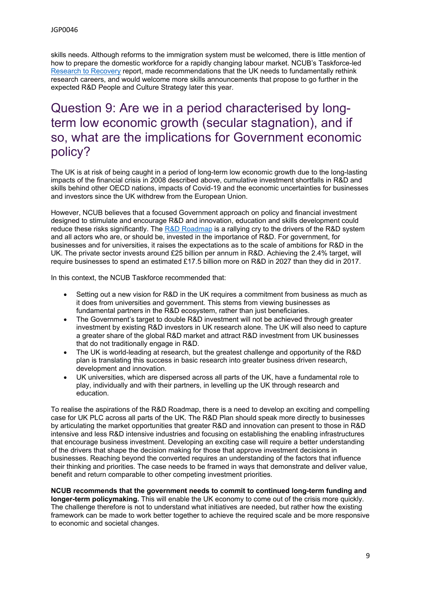skills needs. Although reforms to the immigration system must be welcomed, there is little mention of how to prepare the domestic workforce for a rapidly changing labour market. NCUB's Taskforce-led [Research](https://www.ncub.co.uk/index.php?option=com_docman&view=download&alias=475-ncub-r-d-taskforce-report-2020-final&category_slug=reports&Itemid=2728) [to](https://www.ncub.co.uk/index.php?option=com_docman&view=download&alias=475-ncub-r-d-taskforce-report-2020-final&category_slug=reports&Itemid=2728) [Recovery](https://www.ncub.co.uk/index.php?option=com_docman&view=download&alias=475-ncub-r-d-taskforce-report-2020-final&category_slug=reports&Itemid=2728) report, made recommendations that the UK needs to fundamentally rethink research careers, and would welcome more skills announcements that propose to go further in the expected R&D People and Culture Strategy later this year.

# Question 9: Are we in a period characterised by longterm low economic growth (secular stagnation), and if so, what are the implications for Government economic policy?

The UK is at risk of being caught in a period of long-term low economic growth due to the long-lasting impacts of the financial crisis in 2008 described above, cumulative investment shortfalls in R&D and skills behind other OECD nations, impacts of Covid-19 and the economic uncertainties for businesses and investors since the UK withdrew from the European Union.

However, NCUB believes that a focused Government approach on policy and financial investment designed to stimulate and encourage R&D and innovation, education and skills development could reduce these risks significantly. The [R&D](https://www.gov.uk/government/publications/uk-research-and-development-roadmap) [Roadmap](https://www.gov.uk/government/publications/uk-research-and-development-roadmap) is a rallying cry to the drivers of the R&D system and all actors who are, or should be, invested in the importance of R&D. For government, for businesses and for universities, it raises the expectations as to the scale of ambitions for R&D in the UK. The private sector invests around £25 billion per annum in R&D. Achieving the 2.4% target, will require businesses to spend an estimated £17.5 billion more on R&D in 2027 than they did in 2017.

In this context, the NCUB Taskforce recommended that:

- Setting out a new vision for R&D in the UK requires a commitment from business as much as it does from universities and government. This stems from viewing businesses as fundamental partners in the R&D ecosystem, rather than just beneficiaries.
- The Government's target to double R&D investment will not be achieved through greater investment by existing R&D investors in UK research alone. The UK will also need to capture a greater share of the global R&D market and attract R&D investment from UK businesses that do not traditionally engage in R&D.
- The UK is world-leading at research, but the greatest challenge and opportunity of the R&D plan is translating this success in basic research into greater business driven research, development and innovation.
- UK universities, which are dispersed across all parts of the UK, have a fundamental role to play, individually and with their partners, in levelling up the UK through research and education.

To realise the aspirations of the R&D Roadmap, there is a need to develop an exciting and compelling case for UK PLC across all parts of the UK. The R&D Plan should speak more directly to businesses by articulating the market opportunities that greater R&D and innovation can present to those in R&D intensive and less R&D intensive industries and focusing on establishing the enabling infrastructures that encourage business investment. Developing an exciting case will require a better understanding of the drivers that shape the decision making for those that approve investment decisions in businesses. Reaching beyond the converted requires an understanding of the factors that influence their thinking and priorities. The case needs to be framed in ways that demonstrate and deliver value, benefit and return comparable to other competing investment priorities.

**NCUB recommends that the government needs to commit to continued long-term funding and longer-term policymaking.** This will enable the UK economy to come out of the crisis more quickly. The challenge therefore is not to understand what initiatives are needed, but rather how the existing framework can be made to work better together to achieve the required scale and be more responsive to economic and societal changes.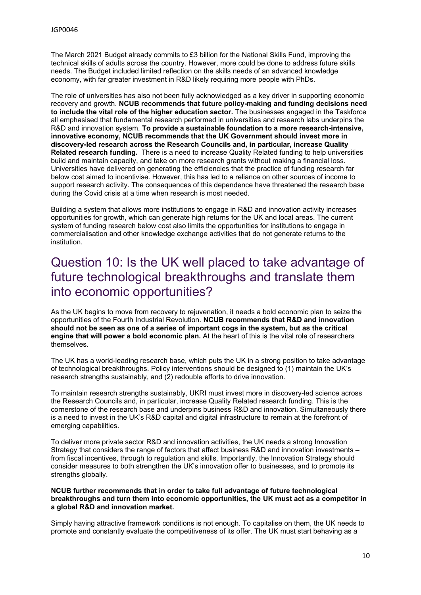The March 2021 Budget already commits to £3 billion for the National Skills Fund, improving the technical skills of adults across the country. However, more could be done to address future skills needs. The Budget included limited reflection on the skills needs of an advanced knowledge economy, with far greater investment in R&D likely requiring more people with PhDs.

The role of universities has also not been fully acknowledged as a key driver in supporting economic recovery and growth. **NCUB recommends that future policy-making and funding decisions need to include the vital role of the higher education sector.** The businesses engaged in the Taskforce all emphasised that fundamental research performed in universities and research labs underpins the R&D and innovation system. **To provide a sustainable foundation to a more research-intensive, innovative economy, NCUB recommends that the UK Government should invest more in discovery-led research across the Research Councils and, in particular, increase Quality Related research funding.** There is a need to increase Quality Related funding to help universities build and maintain capacity, and take on more research grants without making a financial loss. Universities have delivered on generating the efficiencies that the practice of funding research far below cost aimed to incentivise. However, this has led to a reliance on other sources of income to support research activity. The consequences of this dependence have threatened the research base during the Covid crisis at a time when research is most needed.

Building a system that allows more institutions to engage in R&D and innovation activity increases opportunities for growth, which can generate high returns for the UK and local areas. The current system of funding research below cost also limits the opportunities for institutions to engage in commercialisation and other knowledge exchange activities that do not generate returns to the institution.

### Question 10: Is the UK well placed to take advantage of future technological breakthroughs and translate them into economic opportunities?

As the UK begins to move from recovery to rejuvenation, it needs a bold economic plan to seize the opportunities of the Fourth Industrial Revolution. **NCUB recommends that R&D and innovation should not be seen as one of a series of important cogs in the system, but as the critical engine that will power a bold economic plan.** At the heart of this is the vital role of researchers themselves.

The UK has a world-leading research base, which puts the UK in a strong position to take advantage of technological breakthroughs. Policy interventions should be designed to (1) maintain the UK's research strengths sustainably, and (2) redouble efforts to drive innovation.

To maintain research strengths sustainably, UKRI must invest more in discovery-led science across the Research Councils and, in particular, increase Quality Related research funding. This is the cornerstone of the research base and underpins business R&D and innovation. Simultaneously there is a need to invest in the UK's R&D capital and digital infrastructure to remain at the forefront of emerging capabilities.

To deliver more private sector R&D and innovation activities, the UK needs a strong Innovation Strategy that considers the range of factors that affect business R&D and innovation investments – from fiscal incentives, through to regulation and skills. Importantly, the Innovation Strategy should consider measures to both strengthen the UK's innovation offer to businesses, and to promote its strengths globally.

#### **NCUB further recommends that in order to take full advantage of future technological breakthroughs and turn them into economic opportunities, the UK must act as a competitor in a global R&D and innovation market.**

Simply having attractive framework conditions is not enough. To capitalise on them, the UK needs to promote and constantly evaluate the competitiveness of its offer. The UK must start behaving as a